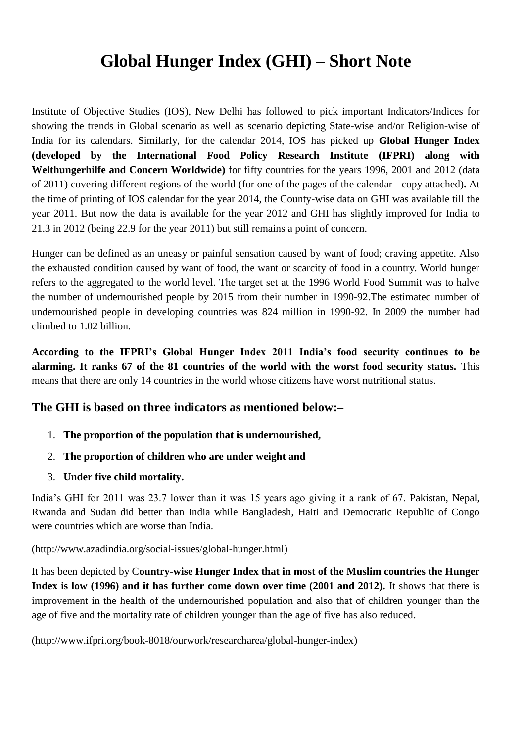## **Global Hunger Index (GHI) – Short Note**

Institute of Objective Studies (IOS), New Delhi has followed to pick important Indicators/Indices for showing the trends in Global scenario as well as scenario depicting State-wise and/or Religion-wise of India for its calendars. Similarly, for the calendar 2014, IOS has picked up **Global Hunger Index (developed by the International Food Policy Research Institute (IFPRI) along with Welthungerhilfe and Concern Worldwide)** for fifty countries for the years 1996, 2001 and 2012 (data of 2011) covering different regions of the world (for one of the pages of the calendar - copy attached)**.** At the time of printing of IOS calendar for the year 2014, the County-wise data on GHI was available till the year 2011. But now the data is available for the year 2012 and GHI has slightly improved for India to 21.3 in 2012 (being 22.9 for the year 2011) but still remains a point of concern.

Hunger can be defined as an uneasy or painful sensation caused by want of food; craving appetite. Also the exhausted condition caused by want of food, the want or scarcity of food in a country. World hunger refers to the aggregated to the world level. The target set at the 1996 World Food Summit was to halve the number of undernourished people by 2015 from their number in 1990-92.The estimated number of undernourished people in developing countries was 824 million in 1990-92. In 2009 the number had climbed to 1.02 billion.

**According to the IFPRI's Global Hunger Index 2011 India's food security continues to be alarming. It ranks 67 of the 81 countries of the world with the worst food security status.** This means that there are only 14 countries in the world whose citizens have worst nutritional status.

## **The GHI is based on three indicators as mentioned below:–**

- 1. **The proportion of the population that is undernourished,**
- 2. **The proportion of children who are under weight and**
- 3. **Under five child mortality.**

India's GHI for 2011 was 23.7 lower than it was 15 years ago giving it a rank of 67. Pakistan, Nepal, Rwanda and Sudan did better than India while Bangladesh, Haiti and Democratic Republic of Congo were countries which are worse than India.

(http://www.azadindia.org/social-issues/global-hunger.html)

It has been depicted by C**ountry-wise Hunger Index that in most of the Muslim countries the Hunger Index is low (1996) and it has further come down over time (2001 and 2012).** It shows that there is improvement in the health of the undernourished population and also that of children younger than the age of five and the mortality rate of children younger than the age of five has also reduced.

(http://www.ifpri.org/book-8018/ourwork/researcharea/global-hunger-index)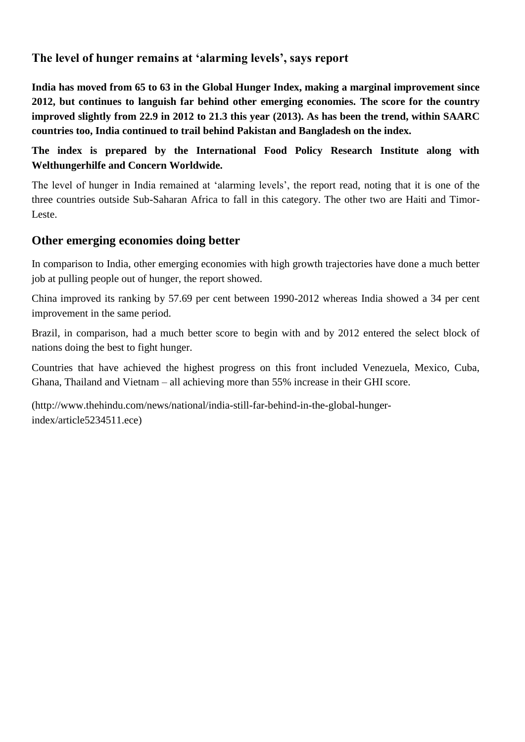## **The level of hunger remains at 'alarming levels', says report**

**India has moved from 65 to 63 in the Global Hunger Index, making a marginal improvement since 2012, but continues to languish far behind other emerging economies. The score for the country improved slightly from 22.9 in 2012 to 21.3 this year (2013). As has been the trend, within SAARC countries too, India continued to trail behind Pakistan and Bangladesh on the index.**

**The index is prepared by the International Food Policy Research Institute along with Welthungerhilfe and Concern Worldwide.** 

The level of hunger in India remained at 'alarming levels', the report read, noting that it is one of the three countries outside Sub-Saharan Africa to fall in this category. The other two are Haiti and Timor-Leste.

## **Other emerging economies doing better**

In comparison to India, other emerging economies with high growth trajectories have done a much better job at pulling people out of hunger, the report showed.

China improved its ranking by 57.69 per cent between 1990-2012 whereas India showed a 34 per cent improvement in the same period.

Brazil, in comparison, had a much better score to begin with and by 2012 entered the select block of nations doing the best to fight hunger.

Countries that have achieved the highest progress on this front included Venezuela, Mexico, Cuba, Ghana, Thailand and Vietnam – all achieving more than 55% increase in their GHI score.

(http://www.thehindu.com/news/national/india-still-far-behind-in-the-global-hungerindex/article5234511.ece)